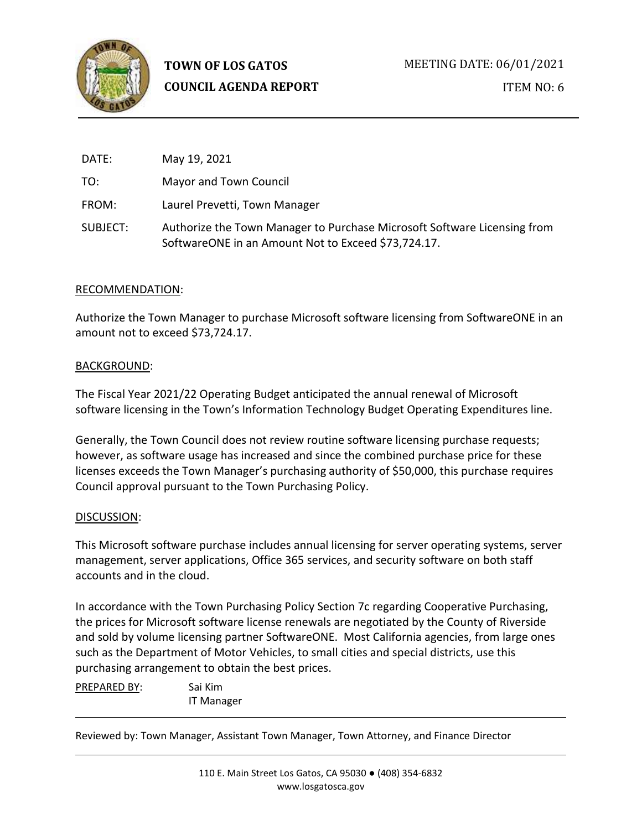

| DATE:    | May 19, 2021                                                                                                                    |
|----------|---------------------------------------------------------------------------------------------------------------------------------|
| TO:      | Mayor and Town Council                                                                                                          |
| FROM:    | Laurel Prevetti, Town Manager                                                                                                   |
| SUBJECT: | Authorize the Town Manager to Purchase Microsoft Software Licensing from<br>SoftwareONE in an Amount Not to Exceed \$73,724.17. |

# RECOMMENDATION:

Authorize the Town Manager to purchase Microsoft software licensing from SoftwareONE in an amount not to exceed \$73,724.17.

## BACKGROUND:

The Fiscal Year 2021/22 Operating Budget anticipated the annual renewal of Microsoft software licensing in the Town's Information Technology Budget Operating Expenditures line.

Generally, the Town Council does not review routine software licensing purchase requests; however, as software usage has increased and since the combined purchase price for these licenses exceeds the Town Manager's purchasing authority of \$50,000, this purchase requires Council approval pursuant to the Town Purchasing Policy.

#### DISCUSSION:

This Microsoft software purchase includes annual licensing for server operating systems, server management, server applications, Office 365 services, and security software on both staff accounts and in the cloud.

In accordance with the Town Purchasing Policy Section 7c regarding Cooperative Purchasing, the prices for Microsoft software license renewals are negotiated by the County of Riverside and sold by volume licensing partner SoftwareONE. Most California agencies, from large ones such as the Department of Motor Vehicles, to small cities and special districts, use this purchasing arrangement to obtain the best prices.

PREPARED BY: Sai Kim IT Manager

Reviewed by: Town Manager, Assistant Town Manager, Town Attorney, and Finance Director